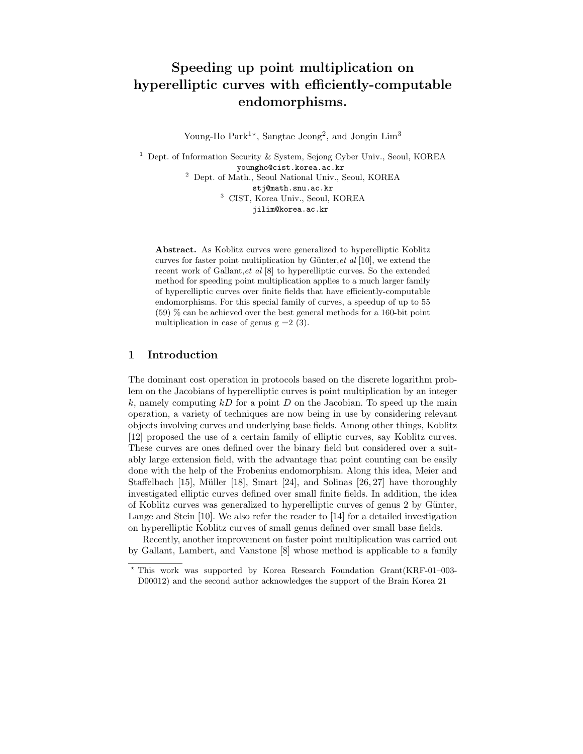# Speeding up point multiplication on hyperelliptic curves with efficiently-computable endomorphisms.

Young-Ho  $\text{Park}^{1*}$ , Sangtae Jeong<sup>2</sup>, and Jongin  $\text{Lim}^3$ 

<sup>1</sup> Dept. of Information Security & System, Sejong Cyber Univ., Seoul, KOREA youngho@cist.korea.ac.kr <sup>2</sup> Dept. of Math., Seoul National Univ., Seoul, KOREA stj@math.snu.ac.kr <sup>3</sup> CIST, Korea Univ., Seoul, KOREA jilim@korea.ac.kr

Abstract. As Koblitz curves were generalized to hyperelliptic Koblitz curves for faster point multiplication by Günter, et al  $[10]$ , we extend the recent work of Gallant,et al [8] to hyperelliptic curves. So the extended method for speeding point multiplication applies to a much larger family of hyperelliptic curves over finite fields that have efficiently-computable endomorphisms. For this special family of curves, a speedup of up to 55 (59) % can be achieved over the best general methods for a 160-bit point multiplication in case of genus  $g = 2(3)$ .

# 1 Introduction

The dominant cost operation in protocols based on the discrete logarithm problem on the Jacobians of hyperelliptic curves is point multiplication by an integer k, namely computing  $kD$  for a point D on the Jacobian. To speed up the main operation, a variety of techniques are now being in use by considering relevant objects involving curves and underlying base fields. Among other things, Koblitz [12] proposed the use of a certain family of elliptic curves, say Koblitz curves. These curves are ones defined over the binary field but considered over a suitably large extension field, with the advantage that point counting can be easily done with the help of the Frobenius endomorphism. Along this idea, Meier and Staffelbach [15], Müller [18], Smart [24], and Solinas  $[26, 27]$  have thoroughly investigated elliptic curves defined over small finite fields. In addition, the idea of Koblitz curves was generalized to hyperelliptic curves of genus 2 by Günter, Lange and Stein [10]. We also refer the reader to [14] for a detailed investigation on hyperelliptic Koblitz curves of small genus defined over small base fields.

Recently, another improvement on faster point multiplication was carried out by Gallant, Lambert, and Vanstone [8] whose method is applicable to a family

<sup>?</sup> This work was supported by Korea Research Foundation Grant(KRF-01–003- D00012) and the second author acknowledges the support of the Brain Korea 21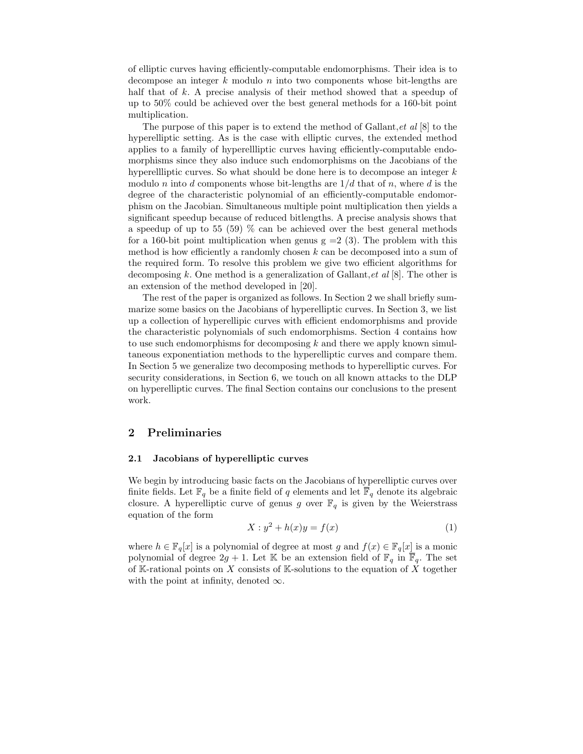of elliptic curves having efficiently-computable endomorphisms. Their idea is to decompose an integer  $k$  modulo  $n$  into two components whose bit-lengths are half that of k. A precise analysis of their method showed that a speedup of up to 50% could be achieved over the best general methods for a 160-bit point multiplication.

The purpose of this paper is to extend the method of Gallant, et al  $[8]$  to the hyperelliptic setting. As is the case with elliptic curves, the extended method applies to a family of hyperellliptic curves having efficiently-computable endomorphisms since they also induce such endomorphisms on the Jacobians of the hyperellliptic curves. So what should be done here is to decompose an integer  $k$ modulo n into d components whose bit-lengths are  $1/d$  that of n, where d is the degree of the characteristic polynomial of an efficiently-computable endomorphism on the Jacobian. Simultaneous multiple point multiplication then yields a significant speedup because of reduced bitlengths. A precise analysis shows that a speedup of up to 55 (59) % can be achieved over the best general methods for a 160-bit point multiplication when genus  $g = 2(3)$ . The problem with this method is how efficiently a randomly chosen  $k$  can be decomposed into a sum of the required form. To resolve this problem we give two efficient algorithms for decomposing k. One method is a generalization of Gallant, et al  $[8]$ . The other is an extension of the method developed in [20].

The rest of the paper is organized as follows. In Section 2 we shall briefly summarize some basics on the Jacobians of hyperelliptic curves. In Section 3, we list up a collection of hyperellipic curves with efficient endomorphisms and provide the characteristic polynomials of such endomorphisms. Section 4 contains how to use such endomorphisms for decomposing  $k$  and there we apply known simultaneous exponentiation methods to the hyperelliptic curves and compare them. In Section 5 we generalize two decomposing methods to hyperelliptic curves. For security considerations, in Section 6, we touch on all known attacks to the DLP on hyperelliptic curves. The final Section contains our conclusions to the present work.

## 2 Preliminaries

#### 2.1 Jacobians of hyperelliptic curves

We begin by introducing basic facts on the Jacobians of hyperelliptic curves over finite fields. Let  $\mathbb{F}_q$  be a finite field of q elements and let  $\overline{\mathbb{F}}_q$  denote its algebraic closure. A hyperelliptic curve of genus g over  $\mathbb{F}_q$  is given by the Weierstrass equation of the form

$$
X: y^2 + h(x)y = f(x)
$$
\n<sup>(1)</sup>

where  $h \in \mathbb{F}_q[x]$  is a polynomial of degree at most g and  $f(x) \in \mathbb{F}_q[x]$  is a monic polynomial of degree  $2g + 1$ . Let K be an extension field of  $\mathbb{F}_q$  in  $\overline{\mathbb{F}}_q$ . The set of K-rational points on X consists of K-solutions to the equation of X together with the point at infinity, denoted  $\infty$ .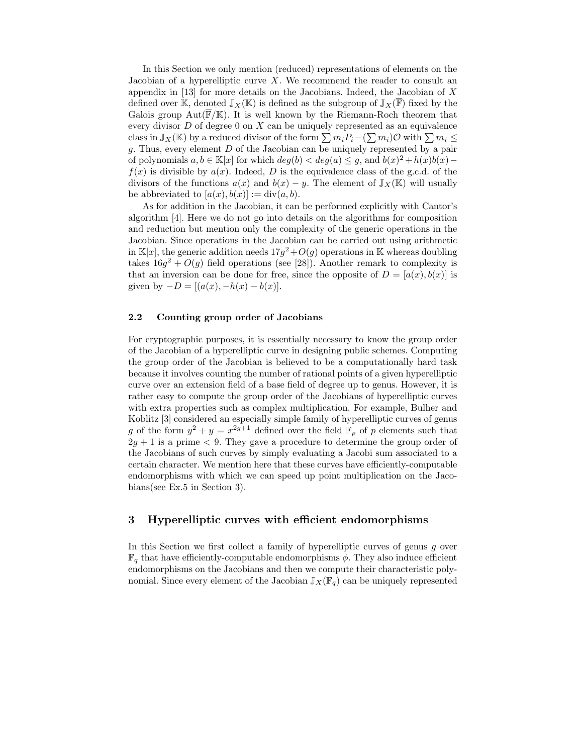In this Section we only mention (reduced) representations of elements on the Jacobian of a hyperelliptic curve  $X$ . We recommend the reader to consult an appendix in  $[13]$  for more details on the Jacobians. Indeed, the Jacobian of X defined over K, denoted  $\mathbb{J}_X(\mathbb{K})$  is defined as the subgroup of  $\mathbb{J}_X(\overline{\mathbb{F}})$  fixed by the Galois group  $Aut(\overline{\mathbb{F}}/\mathbb{K})$ . It is well known by the Riemann-Roch theorem that every divisor  $D$  of degree 0 on  $X$  can be uniquely represented as an equivalence class in  $\mathbb{J}_X(\mathbb{K})$  by a reduced divisor of the form  $\sum m_i P_i - (\sum m_i) \mathcal{O}$  with  $\sum m_i \leq$  $g$ . Thus, every element  $D$  of the Jacobian can be uniquely represented by a pair of polynomials  $a, b \in \mathbb{K}[x]$  for which  $deg(b) < deg(a) \leq g$ , and  $b(x)^2 + h(x)b(x)$  $f(x)$  is divisible by  $a(x)$ . Indeed, D is the equivalence class of the g.c.d. of the divisors of the functions  $a(x)$  and  $b(x) - y$ . The element of  $\mathbb{J}_X(\mathbb{K})$  will usually be abbreviated to  $[a(x), b(x)] := \text{div}(a, b)$ .

As for addition in the Jacobian, it can be performed explicitly with Cantor's algorithm [4]. Here we do not go into details on the algorithms for composition and reduction but mention only the complexity of the generic operations in the Jacobian. Since operations in the Jacobian can be carried out using arithmetic in  $\mathbb{K}[x]$ , the generic addition needs  $17g^2+O(g)$  operations in K whereas doubling takes  $16g^2 + O(g)$  field operations (see [28]). Another remark to complexity is that an inversion can be done for free, since the opposite of  $D = [a(x), b(x)]$  is given by  $-D = [(a(x), -h(x) - b(x)].$ 

### 2.2 Counting group order of Jacobians

For cryptographic purposes, it is essentially necessary to know the group order of the Jacobian of a hyperelliptic curve in designing public schemes. Computing the group order of the Jacobian is believed to be a computationally hard task because it involves counting the number of rational points of a given hyperelliptic curve over an extension field of a base field of degree up to genus. However, it is rather easy to compute the group order of the Jacobians of hyperelliptic curves with extra properties such as complex multiplication. For example, Bulher and Koblitz [3] considered an especially simple family of hyperelliptic curves of genus g of the form  $y^2 + y = x^{2g+1}$  defined over the field  $\mathbb{F}_p$  of p elements such that  $2q + 1$  is a prime  $\lt 9$ . They gave a procedure to determine the group order of the Jacobians of such curves by simply evaluating a Jacobi sum associated to a certain character. We mention here that these curves have efficiently-computable endomorphisms with which we can speed up point multiplication on the Jacobians(see Ex.5 in Section 3).

# 3 Hyperelliptic curves with efficient endomorphisms

In this Section we first collect a family of hyperelliptic curves of genus  $q$  over  $\mathbb{F}_q$  that have efficiently-computable endomorphisms  $\phi$ . They also induce efficient endomorphisms on the Jacobians and then we compute their characteristic polynomial. Since every element of the Jacobian  $\mathbb{J}_X(\mathbb{F}_q)$  can be uniquely represented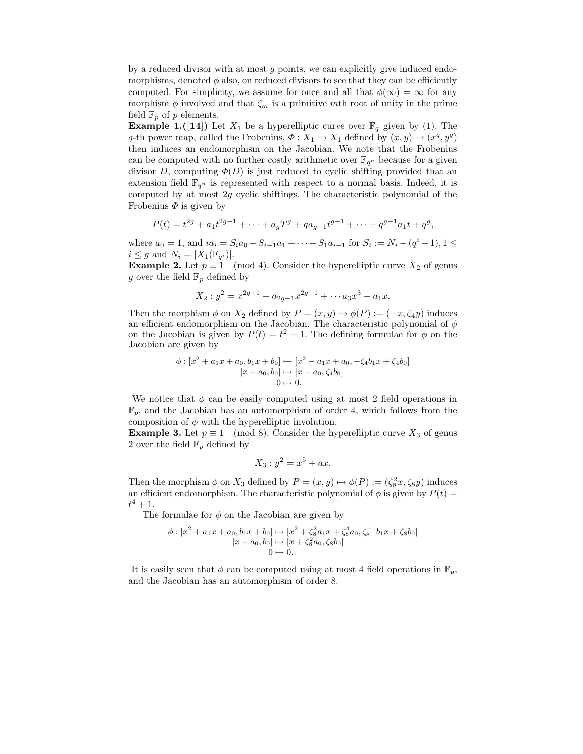by a reduced divisor with at most  $q$  points, we can explicitly give induced endomorphisms, denoted  $\phi$  also, on reduced divisors to see that they can be efficiently computed. For simplicity, we assume for once and all that  $\phi(\infty) = \infty$  for any morphism  $\phi$  involved and that  $\zeta_m$  is a primitive mth root of unity in the prime field  $\mathbb{F}_p$  of p elements.

**Example 1.([14])** Let  $X_1$  be a hyperelliptic curve over  $\mathbb{F}_q$  given by (1). The q-th power map, called the Frobenius,  $\Phi: X_1 \to X_1$  defined by  $(x, y) \to (x^q, y^q)$ then induces an endomorphism on the Jacobian. We note that the Frobenius can be computed with no further costly arithmetic over  $\mathbb{F}_{q^n}$  because for a given divisor D, computing  $\Phi(D)$  is just reduced to cyclic shifting provided that an extension field  $\mathbb{F}_{q^n}$  is represented with respect to a normal basis. Indeed, it is computed by at most  $2g$  cyclic shiftings. The characteristic polynomial of the Frobenius  $\Phi$  is given by

$$
P(t) = t^{2g} + a_1 t^{2g-1} + \dots + a_g T^g + q a_{g-1} t^{g-1} + \dots + q^{g-1} a_1 t + q^g,
$$

where  $a_0 = 1$ , and  $ia_i = S_i a_0 + S_{i-1} a_1 + \cdots + S_1 a_{i-1}$  for  $S_i := N_i - (q^i + 1), 1 \leq i$  $i \leq g$  and  $N_i = |X_1(\mathbb{F}_{q^i})|$ .

**Example 2.** Let  $p \equiv 1 \pmod{4}$ . Consider the hyperelliptic curve  $X_2$  of genus g over the field  $\mathbb{F}_p$  defined by

$$
X_2: y^2 = x^{2g+1} + a_{2g-1}x^{2g-1} + \cdots + a_3x^3 + a_1x.
$$

Then the morphism  $\phi$  on  $X_2$  defined by  $P = (x, y) \mapsto \phi(P) := (-x, \zeta_4 y)$  induces an efficient endomorphism on the Jacobian. The characteristic polynomial of  $\phi$ on the Jacobian is given by  $P(t) = t^2 + 1$ . The defining formulae for  $\phi$  on the Jacobian are given by

$$
\phi: [x^2 + a_1x + a_0, b_1x + b_0] \mapsto [x^2 - a_1x + a_0, -\zeta_4b_1x + \zeta_4b_0]
$$
  
\n
$$
[x + a_0, b_0] \mapsto [x - a_0, \zeta_4b_0]
$$
  
\n
$$
0 \mapsto 0.
$$

We notice that  $\phi$  can be easily computed using at most 2 field operations in  $\mathbb{F}_p$ , and the Jacobian has an automorphism of order 4, which follows from the composition of  $\phi$  with the hyperelliptic involution.

**Example 3.** Let  $p \equiv 1 \pmod{8}$ . Consider the hyperelliptic curve  $X_3$  of genus 2 over the field  $\mathbb{F}_p$  defined by

$$
X_3: y^2 = x^5 + ax.
$$

Then the morphism  $\phi$  on  $X_3$  defined by  $P = (x, y) \mapsto \phi(P) := (\zeta_8^2 x, \zeta_8 y)$  induces an efficient endomorphism. The characteristic polynomial of  $\phi$  is given by  $P(t) =$  $t^4 + 1$ .

The formulae for  $\phi$  on the Jacobian are given by

$$
\begin{aligned} \phi: [x^2 + a_1x + a_0, b_1x + b_0] &\mapsto [x^2 + \zeta_8^2 a_1x + \zeta_8^4 a_0, \zeta_8^{-1}b_1x + \zeta_8 b_0] \\ & [x + a_0, b_0] &\mapsto [x + \zeta_8^2 a_0, \zeta_8 b_0] \\ & 0 &\mapsto 0. \end{aligned}
$$

It is easily seen that  $\phi$  can be computed using at most 4 field operations in  $\mathbb{F}_p$ , and the Jacobian has an automorphism of order 8.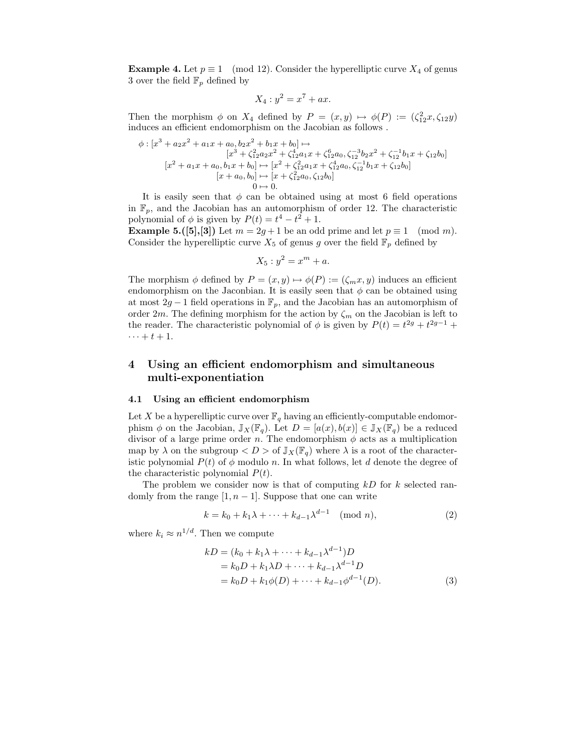**Example 4.** Let  $p \equiv 1 \pmod{12}$ . Consider the hyperelliptic curve  $X_4$  of genus 3 over the field  $\mathbb{F}_p$  defined by

$$
X_4: y^2 = x^7 + ax.
$$

Then the morphism  $\phi$  on  $X_4$  defined by  $P = (x, y) \mapsto \phi(P) := (\zeta_{12}^2 x, \zeta_{12} y)$ induces an efficient endomorphism on the Jacobian as follows .

$$
\phi : [x^3 + a_2x^2 + a_1x + a_0, b_2x^2 + b_1x + b_0] \mapsto
$$
  
\n
$$
[x^3 + \zeta_{12}^2 a_2x^2 + \zeta_{12}^4 a_1x + \zeta_{12}^6 a_0, \zeta_{12}^{-3} b_2x^2 + \zeta_{12}^{-1} b_1x + \zeta_{12} b_0]
$$
  
\n
$$
[x^2 + a_1x + a_0, b_1x + b_0] \mapsto [x^2 + \zeta_{12}^2 a_1x + \zeta_{12}^4 a_0, \zeta_{12}^{-1} b_1x + \zeta_{12} b_0]
$$
  
\n
$$
[x + a_0, b_0] \mapsto [x + \zeta_{12}^2 a_0, \zeta_{12} b_0]
$$
  
\n
$$
0 \mapsto 0.
$$

It is easily seen that  $\phi$  can be obtained using at most 6 field operations in  $\mathbb{F}_p$ , and the Jacobian has an automorphism of order 12. The characteristic polynomial of  $\phi$  is given by  $P(t) = t^4 - t^2 + 1$ .

**Example 5.([5],[3])** Let  $m = 2g + 1$  be an odd prime and let  $p \equiv 1 \pmod{m}$ . Consider the hyperelliptic curve  $X_5$  of genus g over the field  $\mathbb{F}_p$  defined by

$$
X_5: y^2 = x^m + a.
$$

The morphism  $\phi$  defined by  $P = (x, y) \mapsto \phi(P) := (\zeta_m x, y)$  induces an efficient endomorphism on the Jaconbian. It is easily seen that  $\phi$  can be obtained using at most  $2g - 1$  field operations in  $\mathbb{F}_p$ , and the Jacobian has an automorphism of order 2m. The defining morphism for the action by  $\zeta_m$  on the Jacobian is left to the reader. The characteristic polynomial of  $\phi$  is given by  $P(t) = t^{2g} + t^{2g-1} +$  $\cdots + t + 1$ .

# 4 Using an efficient endomorphism and simultaneous multi-exponentiation

#### 4.1 Using an efficient endomorphism

Let X be a hyperelliptic curve over  $\mathbb{F}_q$  having an efficiently-computable endomorphism  $\phi$  on the Jacobian,  $\mathbb{J}_X(\mathbb{F}_q)$ . Let  $D = [a(x), b(x)] \in \mathbb{J}_X(\mathbb{F}_q)$  be a reduced divisor of a large prime order n. The endomorphism  $\phi$  acts as a multiplication map by  $\lambda$  on the subgroup  $\langle D \rangle$  of  $\mathbb{J}_X(\mathbb{F}_q)$  where  $\lambda$  is a root of the characteristic polynomial  $P(t)$  of  $\phi$  modulo n. In what follows, let d denote the degree of the characteristic polynomial  $P(t)$ .

The problem we consider now is that of computing  $kD$  for k selected randomly from the range  $[1, n - 1]$ . Suppose that one can write

$$
k = k_0 + k_1 \lambda + \dots + k_{d-1} \lambda^{d-1} \pmod{n},\tag{2}
$$

where  $k_i \approx n^{1/d}$ . Then we compute

$$
kD = (k_0 + k_1\lambda + \dots + k_{d-1}\lambda^{d-1})D
$$
  
=  $k_0D + k_1\lambda D + \dots + k_{d-1}\lambda^{d-1}D$   
=  $k_0D + k_1\phi(D) + \dots + k_{d-1}\phi^{d-1}(D)$ . (3)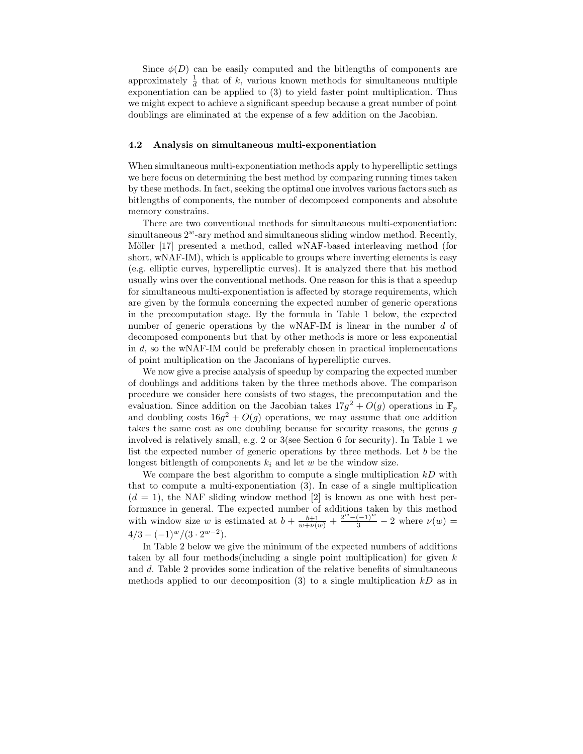Since  $\phi(D)$  can be easily computed and the bitlengths of components are approximately  $\frac{1}{d}$  that of k, various known methods for simultaneous multiple exponentiation can be applied to (3) to yield faster point multiplication. Thus we might expect to achieve a significant speedup because a great number of point doublings are eliminated at the expense of a few addition on the Jacobian.

#### 4.2 Analysis on simultaneous multi-exponentiation

When simultaneous multi-exponentiation methods apply to hyperelliptic settings we here focus on determining the best method by comparing running times taken by these methods. In fact, seeking the optimal one involves various factors such as bitlengths of components, the number of decomposed components and absolute memory constrains.

There are two conventional methods for simultaneous multi-exponentiation:  $simultaneous 2<sup>w</sup>$ -ary method and simultaneous sliding window method. Recently, Möller [17] presented a method, called wNAF-based interleaving method (for short, wNAF-IM), which is applicable to groups where inverting elements is easy (e.g. elliptic curves, hyperelliptic curves). It is analyzed there that his method usually wins over the conventional methods. One reason for this is that a speedup for simultaneous multi-exponentiation is affected by storage requirements, which are given by the formula concerning the expected number of generic operations in the precomputation stage. By the formula in Table 1 below, the expected number of generic operations by the wNAF-IM is linear in the number d of decomposed components but that by other methods is more or less exponential in  $d$ , so the wNAF-IM could be preferably chosen in practical implementations of point multiplication on the Jaconians of hyperelliptic curves.

We now give a precise analysis of speedup by comparing the expected number of doublings and additions taken by the three methods above. The comparison procedure we consider here consists of two stages, the precomputation and the evaluation. Since addition on the Jacobian takes  $17g^2 + O(g)$  operations in  $\mathbb{F}_p$ and doubling costs  $16g^2 + O(g)$  operations, we may assume that one addition takes the same cost as one doubling because for security reasons, the genus g involved is relatively small, e.g. 2 or 3(see Section 6 for security). In Table 1 we list the expected number of generic operations by three methods. Let b be the longest bitlength of components  $k_i$  and let w be the window size.

We compare the best algorithm to compute a single multiplication  $kD$  with that to compute a multi-exponentiation (3). In case of a single multiplication  $(d = 1)$ , the NAF sliding window method [2] is known as one with best performance in general. The expected number of additions taken by this method with window size w is estimated at  $b + \frac{b+1}{w+\nu(w)} + \frac{2^w - (-1)^w}{3} - 2$  where  $\nu(w) =$  $4/3 - (-1)^w/(3 \cdot 2^{w-2}).$ 

In Table 2 below we give the minimum of the expected numbers of additions taken by all four methods (including a single point multiplication) for given  $k$ and d. Table 2 provides some indication of the relative benefits of simultaneous methods applied to our decomposition  $(3)$  to a single multiplication  $kD$  as in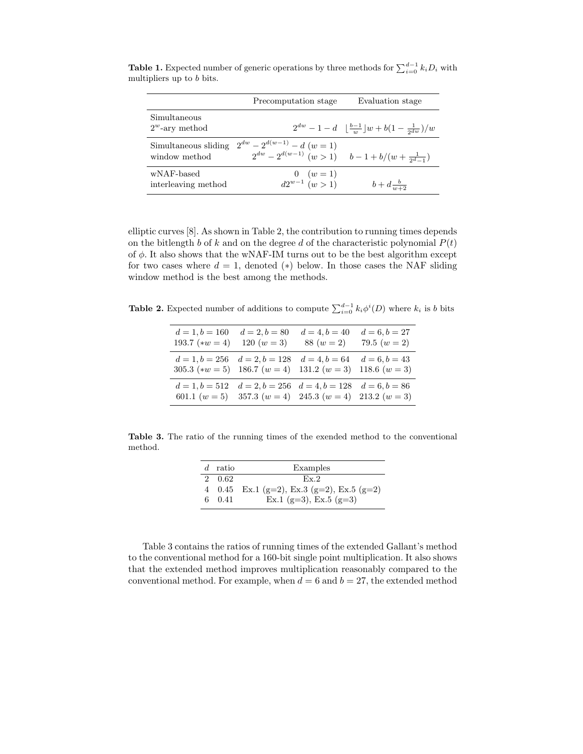|                                       | Precomputation stage                                                                        | Evaluation stage                                                                         |
|---------------------------------------|---------------------------------------------------------------------------------------------|------------------------------------------------------------------------------------------|
| Simultaneous<br>$2^w$ -ary method     |                                                                                             | $2^{dw} - 1 - d \left( \frac{b-1}{w} \right) w + b \left( 1 - \frac{1}{2dw} \right) / w$ |
| Simultaneous sliding<br>window method | $2^{dw} - 2^{d(w-1)} - d(w=1)$<br>$2^{dw} - 2^{d(w-1)} (w > 1)$ $b-1+b/(w+\frac{1}{2^d-1})$ |                                                                                          |
| wNAF-based<br>interleaving method     | $\begin{array}{c} 0 \ (w=1) \ d2^{w-1} \ (w>1) \end{array}$                                 | $b + d \frac{b}{w+2}$                                                                    |

**Table 1.** Expected number of generic operations by three methods for  $\sum_{i=0}^{d-1} k_i D_i$  with multipliers up to  $b$  bits.

elliptic curves [8]. As shown in Table 2, the contribution to running times depends on the bitlength b of k and on the degree d of the characteristic polynomial  $P(t)$ of  $\phi$ . It also shows that the wNAF-IM turns out to be the best algorithm except for two cases where  $d = 1$ , denoted (\*) below. In those cases the NAF sliding window method is the best among the methods.

**Table 2.** Expected number of additions to compute  $\sum_{i=0}^{d-1} k_i \phi^i(D)$  where  $k_i$  is b bits

| $d = 1, b = 160$<br>193.7 $(**w = 4)$                                                       | $d = 2, b = 80$<br>120 $(w=3)$                    | $d = 4, b = 40$<br>$88(w=2)$ | $d = 6, b = 27$<br>79.5 $(w = 2)$  |
|---------------------------------------------------------------------------------------------|---------------------------------------------------|------------------------------|------------------------------------|
| $d = 1, b = 256$ $d = 2, b = 128$<br>305.3 (* $w = 5$ ) 186.7 ( $w = 4$ ) 131.2 ( $w = 3$ ) |                                                   | $d = 4, b = 64$              | $d = 6, b = 43$<br>118.6 $(w = 3)$ |
| $d = 1, b = 512$<br>601.1 $(w = 5)$ 357.3 $(w = 4)$ 245.3 $(w = 4)$ 213.2 $(w = 3)$         | $d = 2, b = 256$ $d = 4, b = 128$ $d = 6, b = 86$ |                              |                                    |

Table 3. The ratio of the running times of the exended method to the conventional method.

| d | ratio  | Examples                                  |  |
|---|--------|-------------------------------------------|--|
|   | 2 0.62 | $Fx$ 2                                    |  |
|   |        | 4 0.45 Ex.1 (g=2), Ex.3 (g=2), Ex.5 (g=2) |  |
|   | 6 0.41 | Ex.1 (g=3), Ex.5 (g=3)                    |  |

Table 3 contains the ratios of running times of the extended Gallant's method to the conventional method for a 160-bit single point multiplication. It also shows that the extended method improves multiplication reasonably compared to the conventional method. For example, when  $d = 6$  and  $b = 27$ , the extended method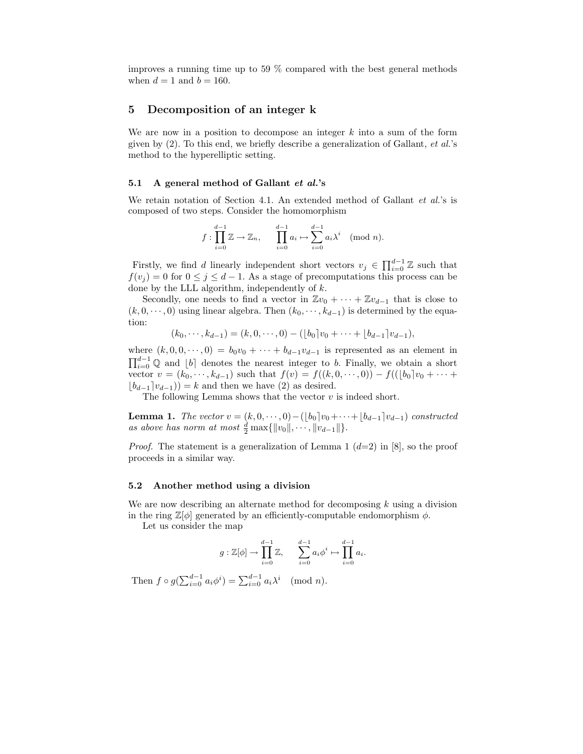improves a running time up to 59 % compared with the best general methods when  $d = 1$  and  $b = 160$ .

## 5 Decomposition of an integer k

We are now in a position to decompose an integer  $k$  into a sum of the form given by  $(2)$ . To this end, we briefly describe a generalization of Gallant, *et al.*'s method to the hyperelliptic setting.

#### 5.1 A general method of Gallant et al.'s

We retain notation of Section 4.1. An extended method of Gallant *et al.*'s is composed of two steps. Consider the homomorphism

$$
f: \prod_{i=0}^{d-1} \mathbb{Z} \to \mathbb{Z}_n, \qquad \prod_{i=0}^{d-1} a_i \mapsto \sum_{i=0}^{d-1} a_i \lambda^i \pmod{n}.
$$

Firstly, we find d linearly independent short vectors  $v_j \in \prod_{i=0}^{d-1} \mathbb{Z}$  such that  $f(v_j) = 0$  for  $0 \le j \le d-1$ . As a stage of precomputations this process can be done by the LLL algorithm, independently of k.

Secondly, one needs to find a vector in  $\mathbb{Z}v_0 + \cdots + \mathbb{Z}v_{d-1}$  that is close to  $(k, 0, \dots, 0)$  using linear algebra. Then  $(k_0, \dots, k_{d-1})$  is determined by the equation:

 $(k_0, \dots, k_{d-1}) = (k, 0, \dots, 0) - (b_0]v_0 + \dots + (b_{d-1}]v_{d-1},$ 

where  $(k, 0, 0, \dots, 0) = b_0v_0 + \dots + b_{d-1}v_{d-1}$  is represented as an element in  $\prod_{i=0}^{d-1} \mathbb{Q}$  and  $\lfloor b \rfloor$  denotes the nearest integer to b. Finally, we obtain a short vector  $v = (k_0, \dots, k_{d-1})$  such that  $f(v) = f((k, 0, \dots, 0)) - f((b_0)v_0 + \dots + b_d)$  $\lfloor b_{d-1} \rfloor v_{d-1}$ ) = k and then we have (2) as desired.

The following Lemma shows that the vector  $v$  is indeed short.

**Lemma 1.** The vector  $v = (k, 0, \dots, 0) - (\lfloor b_0 \rfloor v_0 + \dots + \lfloor b_{d-1} \rfloor v_{d-1})$  constructed as above has norm at most  $\frac{d}{2} \max\{||v_0||, \cdots, ||v_{d-1}||\}.$ 

*Proof.* The statement is a generalization of Lemma 1  $(d=2)$  in [8], so the proof proceeds in a similar way.

#### 5.2 Another method using a division

We are now describing an alternate method for decomposing  $k$  using a division in the ring  $\mathbb{Z}[\phi]$  generated by an efficiently-computable endomorphism  $\phi$ .

Let us consider the map

$$
g: \mathbb{Z}[\phi] \to \prod_{i=0}^{d-1} \mathbb{Z}, \qquad \sum_{i=0}^{d-1} a_i \phi^i \mapsto \prod_{i=0}^{d-1} a_i.
$$

Then  $f \circ g(\sum_{i=0}^{d-1} a_i \phi^i) = \sum_{i=0}^{d-1} a_i \lambda^i \pmod{n}$ .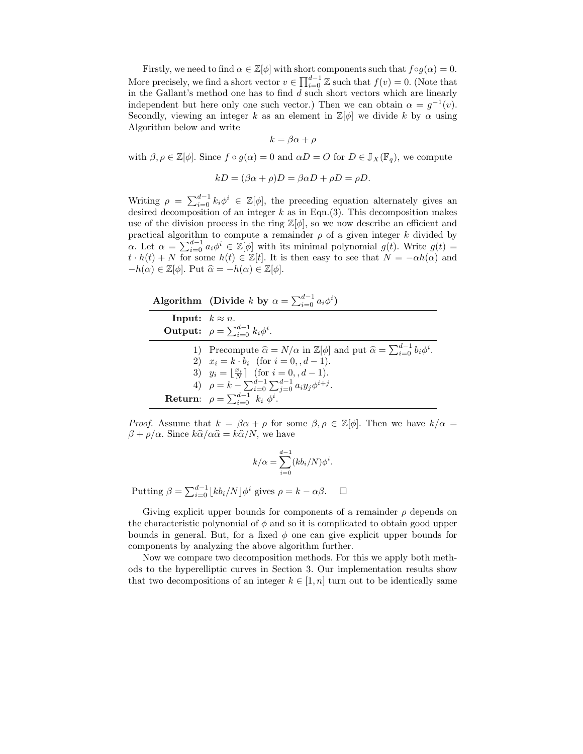Firstly, we need to find  $\alpha \in \mathbb{Z}[\phi]$  with short components such that  $f \circ g(\alpha) = 0$ . More precisely, we find a short vector  $v \in \prod_{i=0}^{d-1} \mathbb{Z}$  such that  $f(v) = 0$ . (Note that in the Gallant's method one has to find  $d$  such short vectors which are linearly independent but here only one such vector.) Then we can obtain  $\alpha = g^{-1}(v)$ . Secondly, viewing an integer k as an element in  $\mathbb{Z}[\phi]$  we divide k by  $\alpha$  using Algorithm below and write

 $k = \beta \alpha + \rho$ 

with  $\beta, \rho \in \mathbb{Z}[\phi]$ . Since  $f \circ g(\alpha) = 0$  and  $\alpha D = O$  for  $D \in \mathbb{J}_X(\mathbb{F}_q)$ , we compute

$$
kD = (\beta \alpha + \rho)D = \beta \alpha D + \rho D = \rho D.
$$

Writing  $\rho = \sum_{i=0}^{d-1} k_i \phi^i \in \mathbb{Z}[\phi]$ , the preceding equation alternately gives an desired decomposition of an integer  $k$  as in Eqn.(3). This decomposition makes use of the division process in the ring  $\mathbb{Z}[\phi]$ , so we now describe an efficient and practical algorithm to compute a remainder  $\rho$  of a given integer k divided by  $\alpha$ . Let  $\alpha = \sum_{i=0}^{d-1} a_i \phi^i \in \mathbb{Z}[\phi]$  with its minimal polynomial  $g(t)$ . Write  $g(t) =$  $t \cdot h(t) + N$  for some  $h(t) \in \mathbb{Z}[t]$ . It is then easy to see that  $N = -\alpha h(\alpha)$  and  $-h(\alpha) \in \mathbb{Z}[\phi]$ . Put  $\widehat{\alpha} = -h(\alpha) \in \mathbb{Z}[\phi]$ .

Algorithm (Divide k by  $\alpha = \sum_{i=0}^{d-1} a_i \phi^i$ ) **Input:**  $k \approx n$ . **Output:**  $\rho = \sum_{i=0}^{d-1} k_i \phi^i$ . 1) Precompute  $\hat{\alpha} = N/\alpha$  in  $\mathbb{Z}[\phi]$  and put  $\hat{\alpha} = \sum_{i=0}^{d-1} b_i \phi^i$ . 2)  $x_i = k \cdot b_i$  (for  $i = 0, d - 1$ ). 3)  $y_i = \lfloor \frac{x_i}{N} \rfloor$  (for  $i = 0, d - 1$ ). 4)  $\rho = k - \sum_{i=0}^{d-1} \sum_{j=0}^{d-1} a_i y_j \phi^{i+j}$ . **Return:**  $\rho = \sum_{i=0}^{d-1} k_i \phi^i$ .

*Proof.* Assume that  $k = \beta \alpha + \rho$  for some  $\beta, \rho \in \mathbb{Z}[\phi]$ . Then we have  $k/\alpha =$  $\beta + \rho/\alpha$ . Since  $k\hat{\alpha}/\alpha\hat{\alpha} = k\hat{\alpha}/N$ , we have

$$
k/\alpha = \sum_{i=0}^{d-1} (kb_i/N)\phi^i.
$$

Putting  $\beta = \sum_{i=0}^{d-1} \lfloor kb_i/N \rfloor \phi^i$  gives  $\rho = k - \alpha \beta$ .  $\Box$ 

Giving explicit upper bounds for components of a remainder  $\rho$  depends on the characteristic polynomial of  $\phi$  and so it is complicated to obtain good upper bounds in general. But, for a fixed  $\phi$  one can give explicit upper bounds for components by analyzing the above algorithm further.

Now we compare two decomposition methods. For this we apply both methods to the hyperelliptic curves in Section 3. Our implementation results show that two decompositions of an integer  $k \in [1, n]$  turn out to be identically same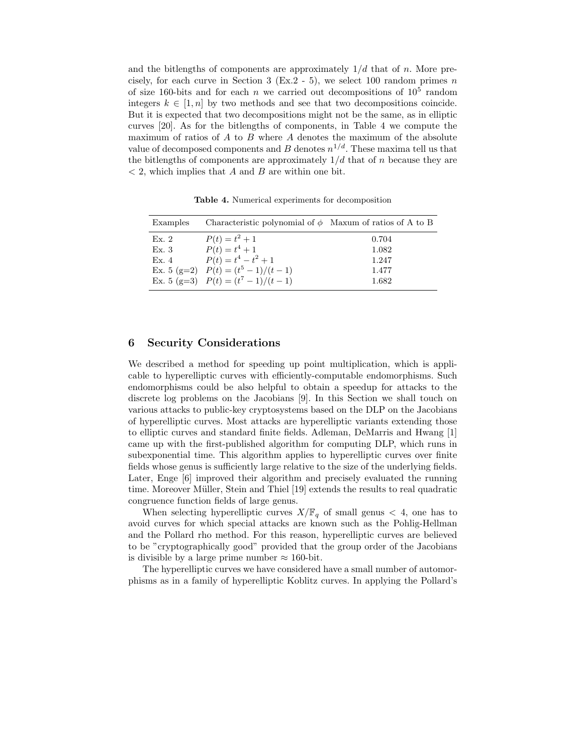and the bitlengths of components are approximately  $1/d$  that of n. More precisely, for each curve in Section 3 (Ex.2 - 5), we select 100 random primes  $n$ of size 160-bits and for each  $n$  we carried out decompositions of  $10^5$  random integers  $k \in [1, n]$  by two methods and see that two decompositions coincide. But it is expected that two decompositions might not be the same, as in elliptic curves [20]. As for the bitlengths of components, in Table 4 we compute the maximum of ratios of  $A$  to  $B$  where  $A$  denotes the maximum of the absolute value of decomposed components and B denotes  $n^{1/d}$ . These maxima tell us that the bitlengths of components are approximately  $1/d$  that of n because they are  $\langle 2 \rangle$ , which implies that A and B are within one bit.

Table 4. Numerical experiments for decomposition

| Examples | Characteristic polynomial of $\phi$ Maxum of ratios of A to B |       |
|----------|---------------------------------------------------------------|-------|
| Ex.2     | $P(t) = t^2 + 1$                                              | 0.704 |
| Ex.3     | $P(t) = t^4 + 1$                                              | 1.082 |
| Ex.4     | $P(t) = t^4 - t^2 + 1$                                        | 1.247 |
|          | Ex. 5 (g=2) $P(t) = (t^5 - 1)/(t - 1)$                        | 1.477 |
|          | Ex. 5 (g=3) $P(t) = (t^7 - 1)/(t - 1)$                        | 1.682 |

## 6 Security Considerations

We described a method for speeding up point multiplication, which is applicable to hyperelliptic curves with efficiently-computable endomorphisms. Such endomorphisms could be also helpful to obtain a speedup for attacks to the discrete log problems on the Jacobians [9]. In this Section we shall touch on various attacks to public-key cryptosystems based on the DLP on the Jacobians of hyperelliptic curves. Most attacks are hyperelliptic variants extending those to elliptic curves and standard finite fields. Adleman, DeMarris and Hwang [1] came up with the first-published algorithm for computing DLP, which runs in subexponential time. This algorithm applies to hyperelliptic curves over finite fields whose genus is sufficiently large relative to the size of the underlying fields. Later, Enge [6] improved their algorithm and precisely evaluated the running time. Moreover Müller, Stein and Thiel  $[19]$  extends the results to real quadratic congruence function fields of large genus.

When selecting hyperelliptic curves  $X/\mathbb{F}_q$  of small genus  $\lt$  4, one has to avoid curves for which special attacks are known such as the Pohlig-Hellman and the Pollard rho method. For this reason, hyperelliptic curves are believed to be "cryptographically good" provided that the group order of the Jacobians is divisible by a large prime number  $\approx 160$ -bit.

The hyperelliptic curves we have considered have a small number of automorphisms as in a family of hyperelliptic Koblitz curves. In applying the Pollard's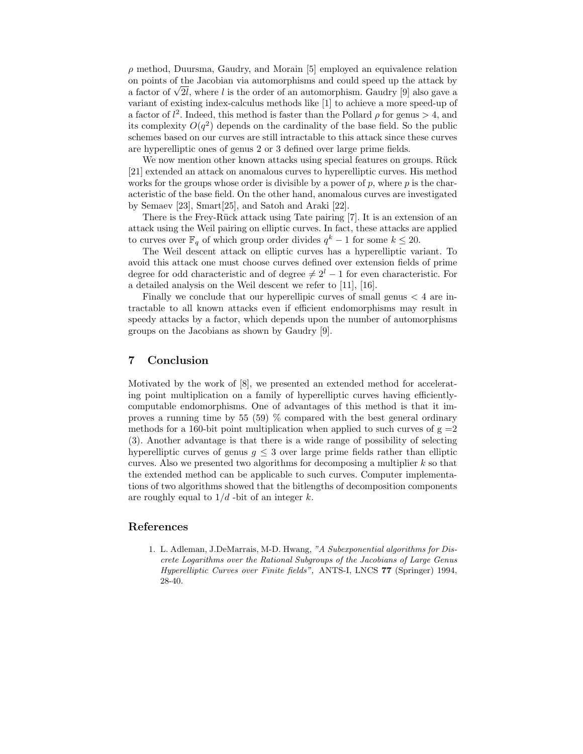$\rho$  method, Duursma, Gaudry, and Morain [5] employed an equivalence relation on points of the Jacobian via automorphisms and could speed up the attack by a factor of  $\sqrt{2l}$ , where l is the order of an automorphism. Gaudry [9] also gave a variant of existing index-calculus methods like [1] to achieve a more speed-up of a factor of  $l^2$ . Indeed, this method is faster than the Pollard  $\rho$  for genus  $> 4$ , and its complexity  $O(q^2)$  depends on the cardinality of the base field. So the public schemes based on our curves are still intractable to this attack since these curves are hyperelliptic ones of genus 2 or 3 defined over large prime fields.

We now mention other known attacks using special features on groups. Ruck [21] extended an attack on anomalous curves to hyperelliptic curves. His method works for the groups whose order is divisible by a power of  $p$ , where  $p$  is the characteristic of the base field. On the other hand, anomalous curves are investigated by Semaev [23], Smart[25], and Satoh and Araki [22].

There is the Frey-Rück attack using Tate pairing [7]. It is an extension of an attack using the Weil pairing on elliptic curves. In fact, these attacks are applied to curves over  $\mathbb{F}_q$  of which group order divides  $q^k - 1$  for some  $k \leq 20$ .

The Weil descent attack on elliptic curves has a hyperelliptic variant. To avoid this attack one must choose curves defined over extension fields of prime degree for odd characteristic and of degree  $\neq 2^l - 1$  for even characteristic. For a detailed analysis on the Weil descent we refer to [11], [16].

Finally we conclude that our hyperellipic curves of small genus < 4 are intractable to all known attacks even if efficient endomorphisms may result in speedy attacks by a factor, which depends upon the number of automorphisms groups on the Jacobians as shown by Gaudry [9].

# 7 Conclusion

Motivated by the work of [8], we presented an extended method for accelerating point multiplication on a family of hyperelliptic curves having efficientlycomputable endomorphisms. One of advantages of this method is that it improves a running time by 55 (59) % compared with the best general ordinary methods for a 160-bit point multiplication when applied to such curves of  $g = 2$ (3). Another advantage is that there is a wide range of possibility of selecting hyperelliptic curves of genus  $q \leq 3$  over large prime fields rather than elliptic curves. Also we presented two algorithms for decomposing a multiplier  $k$  so that the extended method can be applicable to such curves. Computer implementations of two algorithms showed that the bitlengths of decomposition components are roughly equal to  $1/d$  -bit of an integer k.

## References

1. L. Adleman, J.DeMarrais, M-D. Hwang, "A Subexponential algorithms for Discrete Logarithms over the Rational Subgroups of the Jacobians of Large Genus Hyperelliptic Curves over Finite fields", ANTS-I, LNCS 77 (Springer) 1994, 28-40.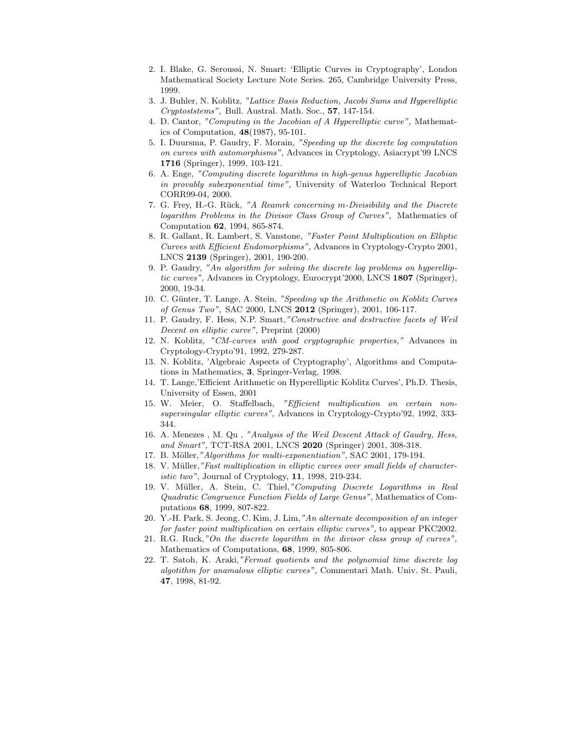- 2. I. Blake, G. Seroussi, N. Smart: 'Elliptic Curves in Cryptography', London Mathematical Society Lecture Note Series. 265, Cambridge University Press, 1999.
- 3. J. Buhler, N. Koblitz, "Lattice Basis Reduction, Jacobi Sums and Hyperelliptic Cryptoststems", Bull. Austral. Math. Soc., 57, 147-154.
- 4. D. Cantor, "Computing in the Jacobian of A Hyperelliptic curve", Mathematics of Computation, 48(1987), 95-101.
- 5. I. Duursma, P. Gaudry, F. Morain, "Speeding up the discrete log computation on curves with automorphisms", Advances in Cryptology, Asiacrypt'99 LNCS 1716 (Springer), 1999, 103-121.
- 6. A. Enge, "Computing discrete logarithms in high-genus hyperelliptic Jacobian in provably subexponential time", University of Waterloo Technical Report CORR99-04, 2000.
- 7. G. Frey, H.-G. Rück, "A Reamrk concerning m-Divisibility and the Discrete logarithm Problems in the Divisor Class Group of Curves", Mathematics of Computation 62, 1994, 865-874.
- 8. R. Gallant, R. Lambert, S. Vanstone, "Faster Point Multiplication on Elliptic Curves with Efficient Endomorphisms", Advances in Cryptology-Crypto 2001, LNCS 2139 (Springer), 2001, 190-200.
- 9. P. Gaudry, "An algorithm for solving the discrete log problems on hyperelliptic curves", Advances in Cryptology, Eurocrypt'2000, LNCS 1807 (Springer), 2000, 19-34.
- 10. C. Günter, T. Lange, A. Stein, "Speeding up the Arithmetic on Koblitz Curves of Genus Two", SAC 2000, LNCS 2012 (Springer), 2001, 106-117.
- 11. P. Gaudry, F. Hess, N.P. Smart,"Constructive and destructive facets of Weil Decent on elliptic curve", Preprint (2000)
- 12. N. Koblitz, "CM-curves with good cryptographic properties," Advances in Cryptology-Crypto'91, 1992, 279-287.
- 13. N. Koblitz, 'Algebraic Aspects of Cryptography', Algorithms and Computations in Mathematics, 3, Springer-Verlag, 1998.
- 14. T. Lange,'Efficient Arithmetic on Hyperelliptic Koblitz Curves', Ph.D. Thesis, University of Essen, 2001
- 15. W. Meier, O. Staffelbach, "Efficient multiplication on certain nonsupersingular elliptic curves", Advances in Cryptology-Crypto'92, 1992, 333- 344.
- 16. A. Menezes , M. Qu , "Analysis of the Weil Descent Attack of Gaudry, Hess, and Smart", TCT-RSA 2001, LNCS 2020 (Springer) 2001, 308-318.
- 17. B. Möller,"Algorithms for multi-exponentiation", SAC 2001, 179-194.
- 18. V. Müller,"Fast multiplication in elliptic curves over small fields of characteristic two", Journal of Cryptology, 11, 1998, 219-234.
- 19. V. Müller, A. Stein, C. Thiel,"Computing Discrete Logarithms in Real Quadratic Congruence Function Fields of Large Genus", Mathematics of Computations 68, 1999, 807-822.
- 20. Y.-H. Park, S. Jeong, C. Kim, J. Lim,"An alternate decomposition of an integer for faster point multiplication on certain elliptic curves", to appear PKC2002.
- 21. R.G. Ruck,"On the discrete logarithm in the divisor class group of curves", Mathematics of Computations, 68, 1999, 805-806.
- 22. T. Satoh, K. Araki,"Fermat quotients and the polynomial time discrete log algotithm for anamalous elliptic curves", Commentari Math. Univ. St. Pauli, 47, 1998, 81-92.